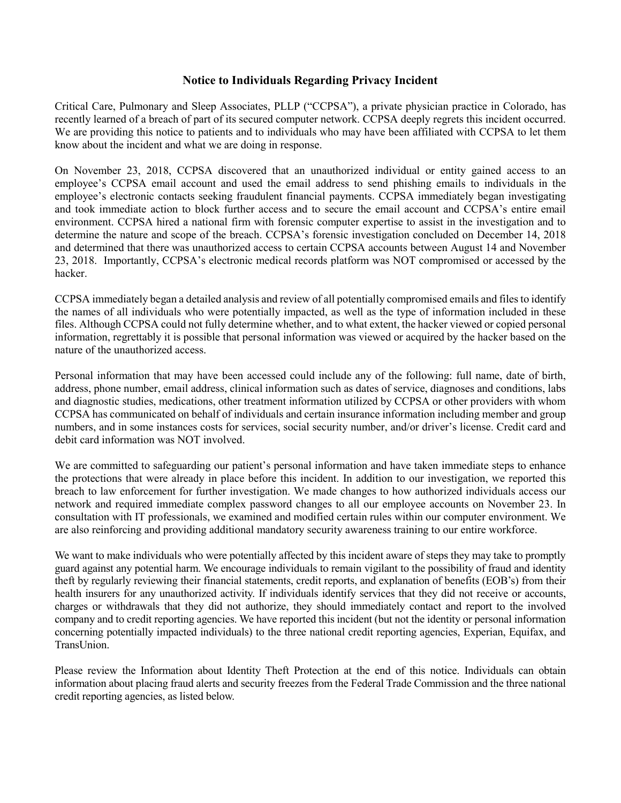## **Notice to Individuals Regarding Privacy Incident**

Critical Care, Pulmonary and Sleep Associates, PLLP ("CCPSA"), a private physician practice in Colorado, has recently learned of a breach of part of its secured computer network. CCPSA deeply regrets this incident occurred. We are providing this notice to patients and to individuals who may have been affiliated with CCPSA to let them know about the incident and what we are doing in response.

On November 23, 2018, CCPSA discovered that an unauthorized individual or entity gained access to an employee's CCPSA email account and used the email address to send phishing emails to individuals in the employee's electronic contacts seeking fraudulent financial payments. CCPSA immediately began investigating and took immediate action to block further access and to secure the email account and CCPSA's entire email environment. CCPSA hired a national firm with forensic computer expertise to assist in the investigation and to determine the nature and scope of the breach. CCPSA's forensic investigation concluded on December 14, 2018 and determined that there was unauthorized access to certain CCPSA accounts between August 14 and November 23, 2018. Importantly, CCPSA's electronic medical records platform was NOT compromised or accessed by the hacker.

CCPSA immediately began a detailed analysis and review of all potentially compromised emails and files to identify the names of all individuals who were potentially impacted, as well as the type of information included in these files. Although CCPSA could not fully determine whether, and to what extent, the hacker viewed or copied personal information, regrettably it is possible that personal information was viewed or acquired by the hacker based on the nature of the unauthorized access.

Personal information that may have been accessed could include any of the following: full name, date of birth, address, phone number, email address, clinical information such as dates of service, diagnoses and conditions, labs and diagnostic studies, medications, other treatment information utilized by CCPSA or other providers with whom CCPSA has communicated on behalf of individuals and certain insurance information including member and group numbers, and in some instances costs for services, social security number, and/or driver's license. Credit card and debit card information was NOT involved.

We are committed to safeguarding our patient's personal information and have taken immediate steps to enhance the protections that were already in place before this incident. In addition to our investigation, we reported this breach to law enforcement for further investigation. We made changes to how authorized individuals access our network and required immediate complex password changes to all our employee accounts on November 23. In consultation with IT professionals, we examined and modified certain rules within our computer environment. We are also reinforcing and providing additional mandatory security awareness training to our entire workforce.

We want to make individuals who were potentially affected by this incident aware of steps they may take to promptly guard against any potential harm. We encourage individuals to remain vigilant to the possibility of fraud and identity theft by regularly reviewing their financial statements, credit reports, and explanation of benefits (EOB's) from their health insurers for any unauthorized activity. If individuals identify services that they did not receive or accounts, charges or withdrawals that they did not authorize, they should immediately contact and report to the involved company and to credit reporting agencies. We have reported this incident (but not the identity or personal information concerning potentially impacted individuals) to the three national credit reporting agencies, Experian, Equifax, and TransUnion.

Please review the Information about Identity Theft Protection at the end of this notice. Individuals can obtain information about placing fraud alerts and security freezes from the Federal Trade Commission and the three national credit reporting agencies, as listed below.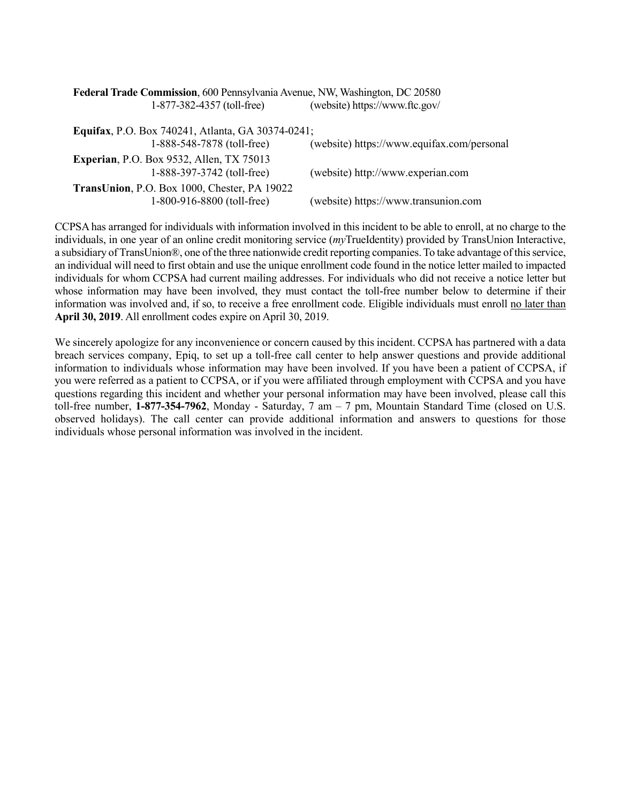| Federal Trade Commission, 600 Pennsylvania Avenue, NW, Washington, DC 20580 |                                            |
|-----------------------------------------------------------------------------|--------------------------------------------|
| 1-877-382-4357 (toll-free)                                                  | (website) https://www.ftc.gov/             |
| <b>Equifax, P.O. Box 740241, Atlanta, GA 30374-0241;</b>                    |                                            |
| 1-888-548-7878 (toll-free)                                                  | (website) https://www.equifax.com/personal |
| <b>Experian, P.O. Box 9532, Allen, TX 75013</b>                             |                                            |
| 1-888-397-3742 (toll-free)                                                  | (website) http://www.experian.com          |
| TransUnion, P.O. Box 1000, Chester, PA 19022                                |                                            |
| 1-800-916-8800 (toll-free)                                                  | (website) https://www.transunion.com       |

CCPSA has arranged for individuals with information involved in this incident to be able to enroll, at no charge to the individuals, in one year of an online credit monitoring service (*my*TrueIdentity) provided by TransUnion Interactive, a subsidiary of TransUnion®, one of the three nationwide credit reporting companies. To take advantage of this service, an individual will need to first obtain and use the unique enrollment code found in the notice letter mailed to impacted individuals for whom CCPSA had current mailing addresses. For individuals who did not receive a notice letter but whose information may have been involved, they must contact the toll-free number below to determine if their information was involved and, if so, to receive a free enrollment code. Eligible individuals must enroll no later than **April 30, 2019**. All enrollment codes expire on April 30, 2019.

We sincerely apologize for any inconvenience or concern caused by this incident. CCPSA has partnered with a data breach services company, Epiq, to set up a toll-free call center to help answer questions and provide additional information to individuals whose information may have been involved. If you have been a patient of CCPSA, if you were referred as a patient to CCPSA, or if you were affiliated through employment with CCPSA and you have questions regarding this incident and whether your personal information may have been involved, please call this toll-free number, **1-877-354-7962**, Monday - Saturday, 7 am – 7 pm, Mountain Standard Time (closed on U.S. observed holidays). The call center can provide additional information and answers to questions for those individuals whose personal information was involved in the incident.